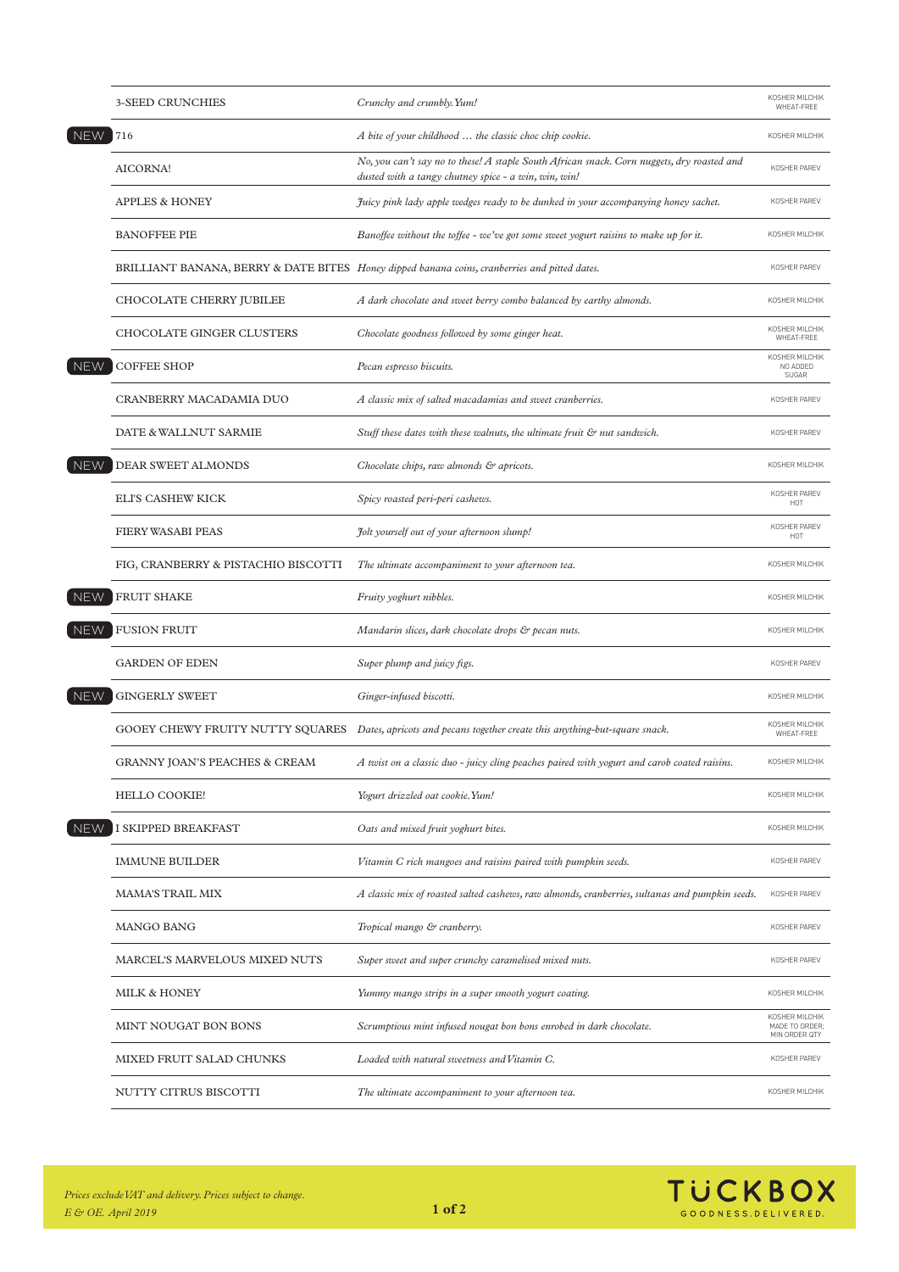|            | <b>3-SEED CRUNCHIES</b>             | Crunchy and crumbly. Yum!                                                                                                                          | KOSHER MILCHIK<br>WHEAT-FREE                      |
|------------|-------------------------------------|----------------------------------------------------------------------------------------------------------------------------------------------------|---------------------------------------------------|
| <b>NEW</b> | 716                                 | A bite of your childhood  the classic choc chip cookie.                                                                                            | KOSHER MILCHIK                                    |
|            | AICORNA!                            | No, you can't say no to these! A staple South African snack. Corn nuggets, dry roasted and<br>dusted with a tangy chutney spice - a win, win, win! | KOSHER PAREV                                      |
|            | APPLES & HONEY                      | Juicy pink lady apple wedges ready to be dunked in your accompanying honey sachet.                                                                 | KOSHER PAREV                                      |
|            | <b>BANOFFEE PIE</b>                 | Banoffee without the toffee - we've got some sweet yogurt raisins to make up for it.                                                               | KOSHER MILCHIK                                    |
|            |                                     | BRILLIANT BANANA, BERRY & DATE BITES Honey dipped banana coins, cranberries and pitted dates.                                                      | KOSHER PAREV                                      |
|            | <b>CHOCOLATE CHERRY JUBILEE</b>     | A dark chocolate and sweet berry combo balanced by earthy almonds.                                                                                 | KOSHER MILCHIK                                    |
|            | CHOCOLATE GINGER CLUSTERS           | Chocolate goodness followed by some ginger heat.                                                                                                   | KOSHER MILCHIK<br>WHEAT-FREE                      |
| <b>NEW</b> | <b>COFFEE SHOP</b>                  | Pecan espresso biscuits.                                                                                                                           | KOSHER MILCHIK<br>NO ADDED<br>SUGAR               |
|            | CRANBERRY MACADAMIA DUO             | A classic mix of salted macadamias and sweet cranberries.                                                                                          | KOSHER PAREV                                      |
|            | DATE & WALLNUT SARMIE               | Stuff these dates with these walnuts, the ultimate fruit & nut sandwich.                                                                           | KOSHER PAREV                                      |
| <b>NEW</b> | DEAR SWEET ALMONDS                  | Chocolate chips, raw almonds & apricots.                                                                                                           | KOSHER MILCHIK                                    |
|            | <b>ELI'S CASHEW KICK</b>            | Spicy roasted peri-peri cashews.                                                                                                                   | KOSHER PAREV<br>HOT                               |
|            | <b>FIERY WASABI PEAS</b>            | Jolt yourself out of your afternoon slump!                                                                                                         | KOSHER PAREV<br>HOT                               |
|            | FIG, CRANBERRY & PISTACHIO BISCOTTI | The ultimate accompaniment to your afternoon tea.                                                                                                  | KOSHER MILCHIK                                    |
| <b>NEW</b> | <b>FRUIT SHAKE</b>                  | Fruity yoghurt nibbles.                                                                                                                            | KOSHER MILCHIK                                    |
| <b>NEW</b> | <b>FUSION FRUIT</b>                 | Mandarin slices, dark chocolate drops & pecan nuts.                                                                                                | KOSHER MILCHIK                                    |
| <b>NEW</b> | <b>GARDEN OF EDEN</b>               | Super plump and juicy figs.                                                                                                                        | KOSHER PAREV                                      |
|            | <b>GINGERLY SWEET</b>               | Ginger-infused biscotti.                                                                                                                           | KOSHER MILCHIK                                    |
|            |                                     | GOOEY CHEWY FRUITY NUTTY SQUARES Dates, apricots and pecans together create this anything-but-square snack.                                        | KOSHER MILCHIK<br>WHEAT-FREE                      |
|            | GRANNY JOAN'S PEACHES & CREAM       | A twist on a classic duo - juicy cling peaches paired with yogurt and carob coated raisins.                                                        | KOSHER MILCHIK                                    |
|            | <b>HELLO COOKIE!</b>                | Yogurt drizzled oat cookie. Yum!                                                                                                                   | KOSHER MILCHIK                                    |
| <b>NEW</b> | I SKIPPED BREAKFAST                 | Oats and mixed fruit yoghurt bites.                                                                                                                | KOSHER MILCHIK                                    |
|            | <b>IMMUNE BUILDER</b>               | Vitamin C rich mangoes and raisins paired with pumpkin seeds.                                                                                      | KOSHER PAREV                                      |
|            | <b>MAMA'S TRAIL MIX</b>             | A classic mix of roasted salted cashews, raw almonds, cranberries, sultanas and pumpkin seeds.                                                     | KOSHER PAREV                                      |
|            | <b>MANGO BANG</b>                   | Tropical mango & cranberry.                                                                                                                        | KOSHER PAREV                                      |
|            | MARCEL'S MARVELOUS MIXED NUTS       | Super sweet and super crunchy caramelised mixed nuts.                                                                                              | KOSHER PAREV                                      |
|            | MILK & HONEY                        | Yummy mango strips in a super smooth yogurt coating.                                                                                               | KOSHER MILCHIK                                    |
|            | MINT NOUGAT BON BONS                | Scrumptious mint infused nougat bon bons enrobed in dark chocolate.                                                                                | KOSHER MILCHIK<br>MADE TO ORDER;<br>MIN ORDER QTY |
|            | MIXED FRUIT SALAD CHUNKS            | Loaded with natural sweetness and Vitamin C.                                                                                                       | KOSHER PAREV                                      |
|            | NUTTY CITRUS BISCOTTI               | The ultimate accompaniment to your afternoon tea.                                                                                                  | KOSHER MILCHIK                                    |